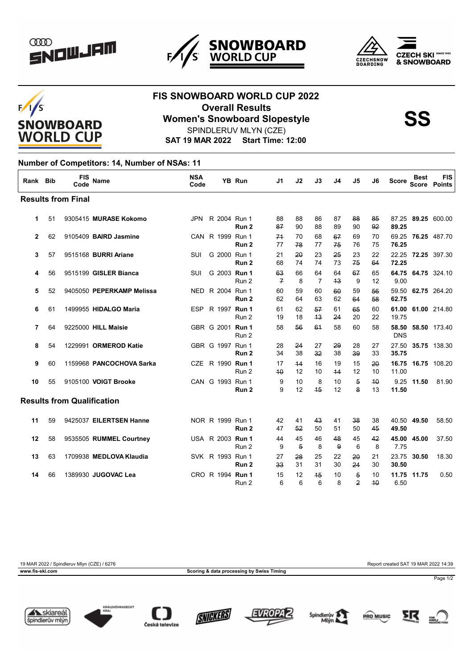







## **FIS SNOWBOARD WORLD CUP 2022 Overall Results<br>
Women's Snowboard Slopestyle<br>
SS** SPINDLERUV MLYN (CZE)

**SAT 19 MAR 2022 Start Time: 12:00**

## **Number of Competitors: 14, Number of NSAs: 11**

| Rank                              | <b>Bib</b> | <b>FIS</b><br>Code | <b>Name</b>               | <b>NSA</b><br>Code |                  | <b>YB Run</b>    | J1                   | J2                   | J3                   | J4       | J5                               | J6       | <b>Score</b>        | <b>Best</b><br><b>Score</b> | <b>FIS</b><br><b>Points</b> |
|-----------------------------------|------------|--------------------|---------------------------|--------------------|------------------|------------------|----------------------|----------------------|----------------------|----------|----------------------------------|----------|---------------------|-----------------------------|-----------------------------|
| <b>Results from Final</b>         |            |                    |                           |                    |                  |                  |                      |                      |                      |          |                                  |          |                     |                             |                             |
| 1                                 | 51         |                    | 9305415 MURASE Kokomo     | <b>JPN</b>         | R 2004 Run 1     | Run <sub>2</sub> | 88<br>87             | 88<br>90             | 86<br>88             | 87<br>89 | 88<br>90                         | 85<br>92 | 87.25<br>89.25      |                             | 89.25 600.00                |
| $\mathbf{2}$                      | 62         |                    | 9105409 BAIRD Jasmine     |                    | CAN R 1999 Run 1 | Run <sub>2</sub> | 74<br>77             | 70<br>78             | 68<br>77             | 67<br>75 | 69<br>76                         | 70<br>75 | 69.25<br>76.25      |                             | 76.25 487.70                |
| 3                                 | 57         |                    | 9515168 BURRI Ariane      | SUI                | G 2000 Run 1     | Run <sub>2</sub> | 21<br>68             | 20<br>74             | 23<br>74             | 25<br>73 | 23<br>75                         | 22<br>64 | 72.25               |                             | 22.25 72.25 397.30          |
| 4                                 | 56         |                    | 9515199 GISLER Bianca     | SUI                | G 2003 Run 1     | Run 2            | 63<br>$\overline{f}$ | 66<br>8              | 64<br>$\overline{7}$ | 64<br>43 | 67<br>9                          | 65<br>12 | 9.00                |                             | 64.75 64.75 324.10          |
| 5                                 | 52         |                    | 9405050 PEPERKAMP Melissa |                    | NED R 2004 Run 1 | Run <sub>2</sub> | 60<br>62             | 59<br>64             | 60<br>63             | 60<br>62 | 59<br>64                         | 56<br>58 | 59.50<br>62.75      |                             | 62.75 264.20                |
| 6                                 | 61         |                    | 1499955 HIDALGO Maria     | <b>ESP</b>         | R 1997 Run 1     | Run 2            | 61<br>19             | 62<br>18             | 57<br>43             | 61<br>24 | 65<br>20                         | 60<br>22 | 61.00<br>19.75      |                             | 61.00 214.80                |
| 7                                 | 64         |                    | 9225000 HILL Maisie       |                    | GBR G 2001 Run 1 | Run 2            | 58                   | 56                   | 61                   | 58       | 60                               | 58       | 58.50<br><b>DNS</b> |                             | 58.50 173.40                |
| 8                                 | 54         |                    | 1229991 ORMEROD Katie     |                    | GBR G 1997 Run 1 | Run <sub>2</sub> | 28<br>34             | 24<br>38             | 27<br>32             | 29<br>38 | 28<br>39                         | 27<br>33 | 27.50<br>35.75      |                             | 35.75 138.30                |
| 9                                 | 60         |                    | 1159968 PANCOCHOVA Sarka  |                    | CZE R 1990 Run 1 | Run 2            | 17<br>40             | 44<br>12             | 16<br>10             | 19<br>44 | 15<br>12                         | 20<br>10 | 16.75<br>11.00      |                             | 16.75 108.20                |
| 10                                | 55         |                    | 9105100 VOIGT Brooke      |                    | CAN G 1993 Run 1 | Run <sub>2</sub> | 9<br>9               | 10<br>12             | 8<br>45              | 10<br>12 | $\overline{5}$<br>8              | 40<br>13 | 11.50               | 9.25 11.50                  | 81.90                       |
| <b>Results from Qualification</b> |            |                    |                           |                    |                  |                  |                      |                      |                      |          |                                  |          |                     |                             |                             |
| 11                                | 59         |                    | 9425037 EILERTSEN Hanne   |                    | NOR R 1999 Run 1 | Run 2            | 42<br>47             | 41<br>52             | 43<br>50             | 41<br>51 | 38<br>50                         | 38<br>45 | 49.50               | 40.50 49.50                 | 58.50                       |
| 12                                | 58         |                    | 9535505 RUMMEL Courtney   |                    | USA R 2003 Run 1 | Run 2            | 44<br>9              | 45<br>$\overline{5}$ | 46<br>8              | 48<br>9  | 45<br>6                          | 42<br>8  | 45.00<br>7.75       | 45.00                       | 37.50                       |
| 13                                | 63         |                    | 1709938 MEDLOVA Klaudia   |                    | SVK R 1993 Run 1 | Run <sub>2</sub> | 27<br>33             | 28<br>31             | 25<br>31             | 22<br>30 | 20<br>24                         | 21<br>30 | 23.75<br>30.50      | 30.50                       | 18.30                       |
| 14                                | 66         |                    | 1389930 JUGOVAC Lea       |                    | CRO R 1994 Run 1 | Run 2            | 15<br>6              | 12<br>6              | 45<br>6              | 10<br>8  | $\overline{5}$<br>$\overline{2}$ | 10<br>40 | 6.50                | 11.75 11.75                 | 0.50                        |

19 MAR 2022 / Spindleruv Mlyn (CZE) / 6276 Report created SAT 19 MAR 2022 14:39 **www.fis-ski.com Scoring & data processing by Swiss Timing**

















Page 1/2